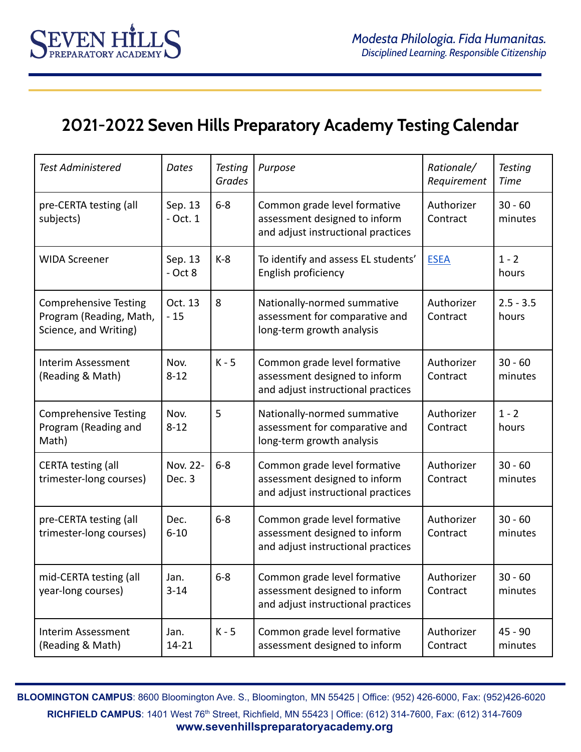## **2021-2022 Seven Hills Preparatory Academy Testing Calendar**

**EVEN H** 

| <b>Test Administered</b>                                                         | Dates                 | <b>Testing</b><br>Grades | Purpose                                                                                             | Rationale/<br>Requirement | <b>Testing</b><br><b>Time</b> |
|----------------------------------------------------------------------------------|-----------------------|--------------------------|-----------------------------------------------------------------------------------------------------|---------------------------|-------------------------------|
| pre-CERTA testing (all<br>subjects)                                              | Sep. 13<br>$-$ Oct. 1 | $6-8$                    | Common grade level formative<br>assessment designed to inform<br>and adjust instructional practices | Authorizer<br>Contract    | $30 - 60$<br>minutes          |
| <b>WIDA Screener</b>                                                             | Sep. 13<br>$-$ Oct 8  | $K-8$                    | To identify and assess EL students'<br>English proficiency                                          | <b>ESEA</b>               | $1 - 2$<br>hours              |
| <b>Comprehensive Testing</b><br>Program (Reading, Math,<br>Science, and Writing) | Oct. 13<br>$-15$      | 8                        | Nationally-normed summative<br>assessment for comparative and<br>long-term growth analysis          | Authorizer<br>Contract    | $2.5 - 3.5$<br>hours          |
| <b>Interim Assessment</b><br>(Reading & Math)                                    | Nov.<br>$8 - 12$      | $K - 5$                  | Common grade level formative<br>assessment designed to inform<br>and adjust instructional practices | Authorizer<br>Contract    | $30 - 60$<br>minutes          |
| <b>Comprehensive Testing</b><br>Program (Reading and<br>Math)                    | Nov.<br>$8 - 12$      | 5                        | Nationally-normed summative<br>assessment for comparative and<br>long-term growth analysis          | Authorizer<br>Contract    | $1 - 2$<br>hours              |
| <b>CERTA testing (all</b><br>trimester-long courses)                             | Nov. 22-<br>Dec. 3    | $6 - 8$                  | Common grade level formative<br>assessment designed to inform<br>and adjust instructional practices | Authorizer<br>Contract    | $30 - 60$<br>minutes          |
| pre-CERTA testing (all<br>trimester-long courses)                                | Dec.<br>$6 - 10$      | $6 - 8$                  | Common grade level formative<br>assessment designed to inform<br>and adjust instructional practices | Authorizer<br>Contract    | $30 - 60$<br>minutes          |
| mid-CERTA testing (all<br>year-long courses)                                     | Jan.<br>$3 - 14$      | $6 - 8$                  | Common grade level formative<br>assessment designed to inform<br>and adjust instructional practices | Authorizer<br>Contract    | $30 - 60$<br>minutes          |
| Interim Assessment<br>(Reading & Math)                                           | Jan.<br>$14 - 21$     | $K - 5$                  | Common grade level formative<br>assessment designed to inform                                       | Authorizer<br>Contract    | $45 - 90$<br>minutes          |

**BLOOMINGTON CAMPUS**: 8600 Bloomington Ave. S., Bloomington, MN 55425 | Office: (952) 426-6000, Fax: (952)426-6020

**RICHFIELD CAMPUS**: 1401 West 76<sup>th</sup> Street, Richfield, MN 55423 | Office: (612) 314-7600, Fax: (612) 314-7609 **www.sevenhillspreparatoryacademy.org**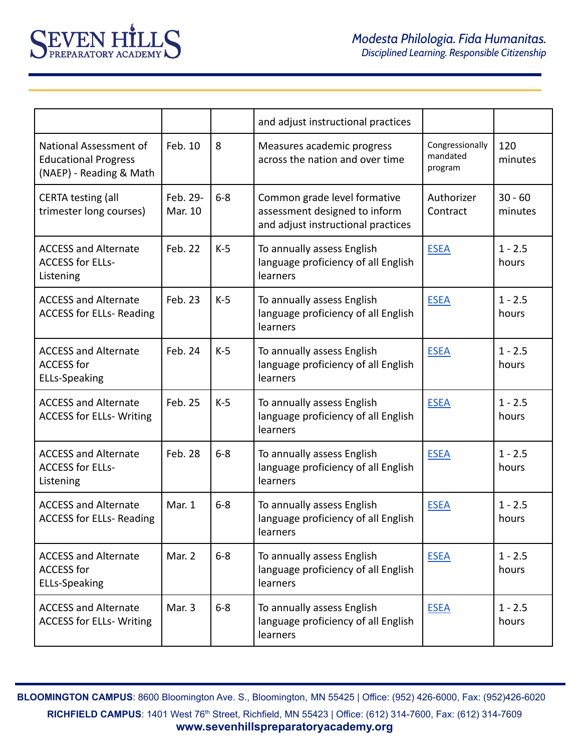|                                                                                  |                     |         | and adjust instructional practices                                                                  |                                        |                      |
|----------------------------------------------------------------------------------|---------------------|---------|-----------------------------------------------------------------------------------------------------|----------------------------------------|----------------------|
| National Assessment of<br><b>Educational Progress</b><br>(NAEP) - Reading & Math | Feb. 10             | 8       | Measures academic progress<br>across the nation and over time                                       | Congressionally<br>mandated<br>program | 120<br>minutes       |
| <b>CERTA testing (all</b><br>trimester long courses)                             | Feb. 29-<br>Mar. 10 | $6-8$   | Common grade level formative<br>assessment designed to inform<br>and adjust instructional practices | Authorizer<br>Contract                 | $30 - 60$<br>minutes |
| <b>ACCESS and Alternate</b><br><b>ACCESS for ELLs-</b><br>Listening              | Feb. 22             | $K-5$   | To annually assess English<br>language proficiency of all English<br>learners                       | <b>ESEA</b>                            | $1 - 2.5$<br>hours   |
| <b>ACCESS and Alternate</b><br><b>ACCESS for ELLs- Reading</b>                   | Feb. 23             | $K-5$   | To annually assess English<br>language proficiency of all English<br>learners                       | <b>ESEA</b>                            | $1 - 2.5$<br>hours   |
| <b>ACCESS and Alternate</b><br><b>ACCESS for</b><br><b>ELLs-Speaking</b>         | Feb. 24             | $K-5$   | To annually assess English<br>language proficiency of all English<br>learners                       | <b>ESEA</b>                            | $1 - 2.5$<br>hours   |
| <b>ACCESS and Alternate</b><br><b>ACCESS for ELLs- Writing</b>                   | Feb. 25             | $K-5$   | To annually assess English<br>language proficiency of all English<br>learners                       | <b>ESEA</b>                            | $1 - 2.5$<br>hours   |
| <b>ACCESS and Alternate</b><br><b>ACCESS for ELLs-</b><br>Listening              | Feb. 28             | $6 - 8$ | To annually assess English<br>language proficiency of all English<br>learners                       | <b>ESEA</b>                            | $1 - 2.5$<br>hours   |
| <b>ACCESS and Alternate</b><br><b>ACCESS for ELLs- Reading</b>                   | Mar. 1              | $6 - 8$ | To annually assess English<br>language proficiency of all English<br>learners                       | <b>ESEA</b>                            | $1 - 2.5$<br>hours   |
| <b>ACCESS and Alternate</b><br><b>ACCESS for</b><br><b>ELLs-Speaking</b>         | Mar. 2              | $6 - 8$ | To annually assess English<br>language proficiency of all English<br>learners                       | <b>ESEA</b>                            | $1 - 2.5$<br>hours   |
| <b>ACCESS and Alternate</b><br><b>ACCESS for ELLs- Writing</b>                   | Mar. 3              | $6 - 8$ | To annually assess English<br>language proficiency of all English<br>learners                       | <b>ESEA</b>                            | $1 - 2.5$<br>hours   |

**BLOOMINGTON CAMPUS**: 8600 Bloomington Ave. S., Bloomington, MN 55425 | Office: (952) 426-6000, Fax: (952)426-6020

**RICHFIELD CAMPUS**: 1401 West 76<sup>th</sup> Street, Richfield, MN 55423 | Office: (612) 314-7600, Fax: (612) 314-7609 **www.sevenhillspreparatoryacademy.org**